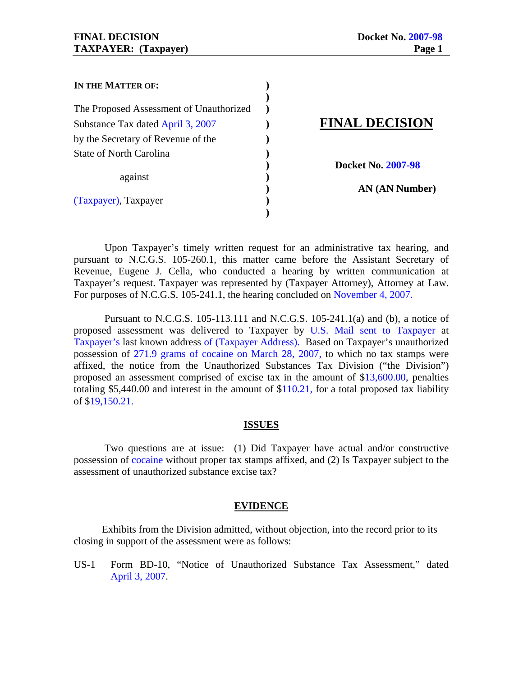| IN THE MATTER OF:                       |                           |
|-----------------------------------------|---------------------------|
|                                         |                           |
| The Proposed Assessment of Unauthorized |                           |
| Substance Tax dated April 3, 2007       | <b>FINAL DECISION</b>     |
| by the Secretary of Revenue of the      |                           |
| <b>State of North Carolina</b>          |                           |
|                                         | <b>Docket No. 2007-98</b> |
| against                                 |                           |
|                                         | AN (AN Number)            |
| (Taxpayer), Taxpayer                    |                           |
|                                         |                           |

 Upon Taxpayer's timely written request for an administrative tax hearing, and pursuant to N.C.G.S. 105-260.1, this matter came before the Assistant Secretary of Revenue, Eugene J. Cella, who conducted a hearing by written communication at Taxpayer's request. Taxpayer was represented by (Taxpayer Attorney), Attorney at Law. For purposes of N.C.G.S. 105-241.1, the hearing concluded on November 4, 2007.

 Pursuant to N.C.G.S. 105-113.111 and N.C.G.S. 105-241.1(a) and (b), a notice of proposed assessment was delivered to Taxpayer by U.S. Mail sent to Taxpayer at Taxpayer's last known address of (Taxpayer Address). Based on Taxpayer's unauthorized possession of 271.9 grams of cocaine on March 28, 2007, to which no tax stamps were affixed, the notice from the Unauthorized Substances Tax Division ("the Division") proposed an assessment comprised of excise tax in the amount of \$13,600.00, penalties totaling \$5,440.00 and interest in the amount of \$110.21, for a total proposed tax liability of \$19,150.21.

### **ISSUES**

 Two questions are at issue: (1) Did Taxpayer have actual and/or constructive possession of cocaine without proper tax stamps affixed, and (2) Is Taxpayer subject to the assessment of unauthorized substance excise tax?

### **EVIDENCE**

 Exhibits from the Division admitted, without objection, into the record prior to its closing in support of the assessment were as follows:

US-1 Form BD-10, "Notice of Unauthorized Substance Tax Assessment," dated April 3, 2007.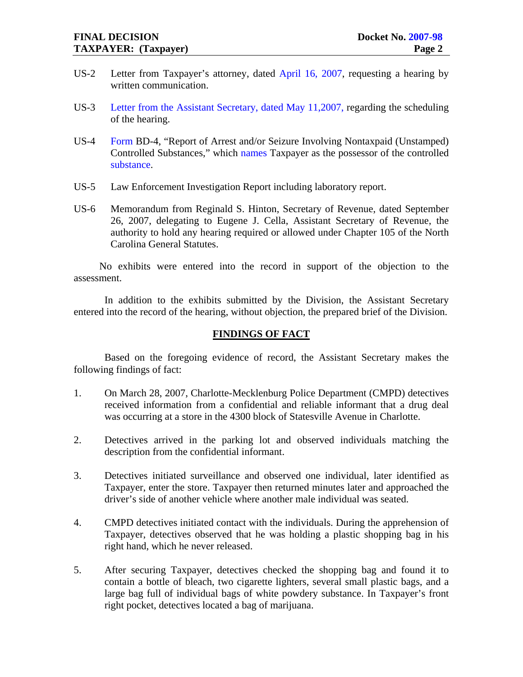- US-2 Letter from Taxpayer's attorney, dated April 16, 2007, requesting a hearing by written communication.
- US-3 Letter from the Assistant Secretary, dated May 11,2007, regarding the scheduling of the hearing.
- US-4 Form BD-4, "Report of Arrest and/or Seizure Involving Nontaxpaid (Unstamped) Controlled Substances," which names Taxpayer as the possessor of the controlled substance.
- US-5 Law Enforcement Investigation Report including laboratory report.
- US-6 Memorandum from Reginald S. Hinton, Secretary of Revenue, dated September 26, 2007, delegating to Eugene J. Cella, Assistant Secretary of Revenue, the authority to hold any hearing required or allowed under Chapter 105 of the North Carolina General Statutes.

 No exhibits were entered into the record in support of the objection to the assessment.

 In addition to the exhibits submitted by the Division, the Assistant Secretary entered into the record of the hearing, without objection, the prepared brief of the Division.

### **FINDINGS OF FACT**

 Based on the foregoing evidence of record, the Assistant Secretary makes the following findings of fact:

- 1. On March 28, 2007, Charlotte-Mecklenburg Police Department (CMPD) detectives received information from a confidential and reliable informant that a drug deal was occurring at a store in the 4300 block of Statesville Avenue in Charlotte.
- 2. Detectives arrived in the parking lot and observed individuals matching the description from the confidential informant.
- 3. Detectives initiated surveillance and observed one individual, later identified as Taxpayer, enter the store. Taxpayer then returned minutes later and approached the driver's side of another vehicle where another male individual was seated.
- 4. CMPD detectives initiated contact with the individuals. During the apprehension of Taxpayer, detectives observed that he was holding a plastic shopping bag in his right hand, which he never released.
- 5. After securing Taxpayer, detectives checked the shopping bag and found it to contain a bottle of bleach, two cigarette lighters, several small plastic bags, and a large bag full of individual bags of white powdery substance. In Taxpayer's front right pocket, detectives located a bag of marijuana.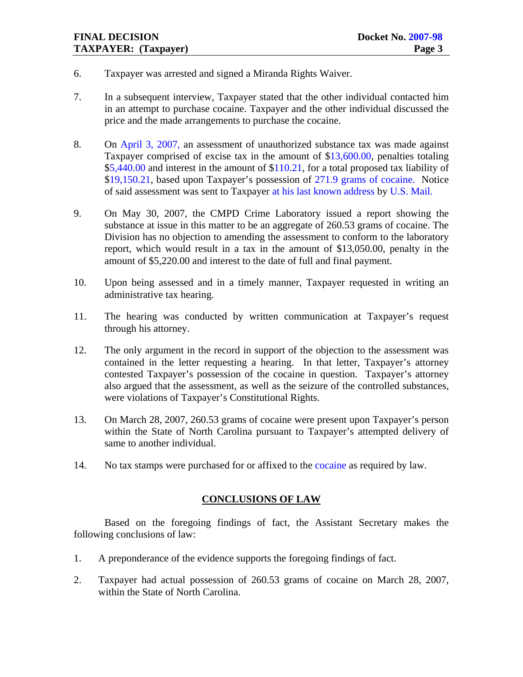- 6. Taxpayer was arrested and signed a Miranda Rights Waiver.
- 7. In a subsequent interview, Taxpayer stated that the other individual contacted him in an attempt to purchase cocaine. Taxpayer and the other individual discussed the price and the made arrangements to purchase the cocaine.
- 8. On April 3, 2007, an assessment of unauthorized substance tax was made against Taxpayer comprised of excise tax in the amount of \$13,600.00, penalties totaling \$5,440.00 and interest in the amount of \$110.21, for a total proposed tax liability of \$19,150.21, based upon Taxpayer's possession of 271.9 grams of cocaine. Notice of said assessment was sent to Taxpayer at his last known address by U.S. Mail.
- 9. On May 30, 2007, the CMPD Crime Laboratory issued a report showing the substance at issue in this matter to be an aggregate of 260.53 grams of cocaine. The Division has no objection to amending the assessment to conform to the laboratory report, which would result in a tax in the amount of \$13,050.00, penalty in the amount of \$5,220.00 and interest to the date of full and final payment.
- 10. Upon being assessed and in a timely manner, Taxpayer requested in writing an administrative tax hearing.
- 11. The hearing was conducted by written communication at Taxpayer's request through his attorney.
- 12. The only argument in the record in support of the objection to the assessment was contained in the letter requesting a hearing. In that letter, Taxpayer's attorney contested Taxpayer's possession of the cocaine in question. Taxpayer's attorney also argued that the assessment, as well as the seizure of the controlled substances, were violations of Taxpayer's Constitutional Rights.
- 13. On March 28, 2007, 260.53 grams of cocaine were present upon Taxpayer's person within the State of North Carolina pursuant to Taxpayer's attempted delivery of same to another individual.
- 14. No tax stamps were purchased for or affixed to the cocaine as required by law.

## **CONCLUSIONS OF LAW**

 Based on the foregoing findings of fact, the Assistant Secretary makes the following conclusions of law:

- 1. A preponderance of the evidence supports the foregoing findings of fact.
- 2. Taxpayer had actual possession of 260.53 grams of cocaine on March 28, 2007, within the State of North Carolina.